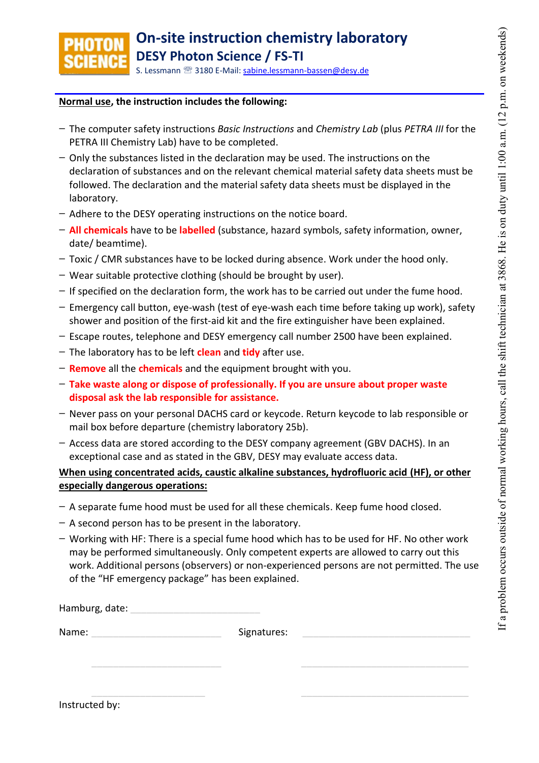

## **Normal use, the instruction includes the following:**

- **−** The computer safety instructions *Basic Instructions* and *Chemistry Lab* (plus *PETRA III* for the PETRA III Chemistry Lab) have to be completed.
- **−** Only the substances listed in the declaration may be used. The instructions on the declaration of substances and on the relevant chemical material safety data sheets must be followed. The declaration and the material safety data sheets must be displayed in the laboratory.
- **−** Adhere to the DESY operating instructions on the notice board.
- **− All chemicals** have to be **labelled** (substance, hazard symbols, safety information, owner, date/ beamtime).
- **−** Toxic / CMR substances have to be locked during absence. Work under the hood only.
- **−** Wear suitable protective clothing (should be brought by user).
- **−** If specified on the declaration form, the work has to be carried out under the fume hood.
- **−** Emergency call button, eye-wash (test of eye-wash each time before taking up work), safety shower and position of the first-aid kit and the fire extinguisher have been explained.
- **−** Escape routes, telephone and DESY emergency call number 2500 have been explained.
- **−** The laboratory has to be left **clean** and **tidy** after use.
- **− Remove** all the **chemicals** and the equipment brought with you.
- **− Take waste along or dispose of professionally. If you are unsure about proper waste disposal ask the lab responsible for assistance.**
- **−** Never pass on your personal DACHS card or keycode. Return keycode to lab responsible or mail box before departure (chemistry laboratory 25b).
- **−** Access data are stored according to the DESY company agreement (GBV DACHS). In an exceptional case and as stated in the GBV, DESY may evaluate access data.

## **When using concentrated acids, caustic alkaline substances, hydrofluoric acid (HF), or other especially dangerous operations:**

- **−** A separate fume hood must be used for all these chemicals. Keep fume hood closed.
- **−** A second person has to be present in the laboratory.
- **−** Working with HF: There is a special fume hood which has to be used for HF. No other work may be performed simultaneously. Only competent experts are allowed to carry out this work. Additional persons (observers) or non-experienced persons are not permitted. The use of the "HF emergency package" has been explained.

| Hamburg, date: |  |
|----------------|--|
|                |  |

Name: \_\_\_\_\_\_\_\_\_\_\_\_\_\_\_\_\_\_\_\_\_\_\_\_ Signatures: \_\_\_\_\_\_\_\_\_\_\_\_\_\_\_\_\_\_\_\_\_\_\_\_\_\_\_\_\_\_\_

\_\_\_\_\_\_\_\_\_\_\_\_\_\_\_\_\_\_\_\_\_\_\_\_ \_\_\_\_\_\_\_\_\_\_\_\_\_\_\_\_\_\_\_\_\_\_\_\_\_\_\_\_\_\_\_

\_\_\_\_\_\_\_\_\_\_\_\_\_\_\_\_\_\_\_\_\_ \_\_\_\_\_\_\_\_\_\_\_\_\_\_\_\_\_\_\_\_\_\_\_\_\_\_\_\_\_\_\_ Instructed by: